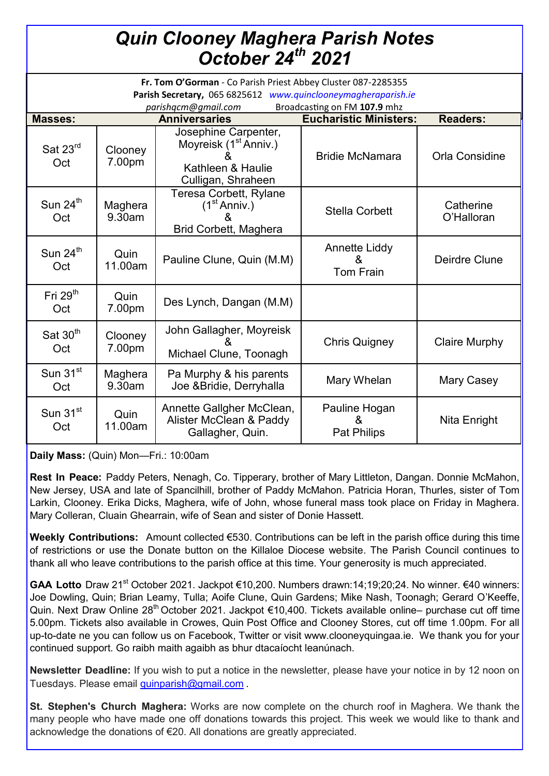## *Quin Clooney Maghera Parish Notes October 24th 2021*

| Fr. Tom O'Gorman - Co Parish Priest Abbey Cluster 087-2285355<br>Parish Secretary, 065 6825612 www.quinclooneymagheraparish.ie<br>Broadcasting on FM 107.9 mhz<br>parishqcm@gmail.com |                      |                                                                                                      |                                               |                         |
|---------------------------------------------------------------------------------------------------------------------------------------------------------------------------------------|----------------------|------------------------------------------------------------------------------------------------------|-----------------------------------------------|-------------------------|
| <b>Masses:</b>                                                                                                                                                                        | <b>Anniversaries</b> |                                                                                                      | <b>Eucharistic Ministers:</b>                 | <b>Readers:</b>         |
| Sat $23rd$<br>Oct                                                                                                                                                                     | Clooney<br>7.00pm    | Josephine Carpenter,<br>Moyreisk (1 <sup>st</sup> Anniv.)<br>Kathleen & Haulie<br>Culligan, Shraheen | <b>Bridie McNamara</b>                        | <b>Orla Considine</b>   |
| Sun 24 <sup>th</sup><br>Oct                                                                                                                                                           | Maghera<br>9.30am    | Teresa Corbett, Rylane<br>(1 <sup>st</sup> Anniv.)<br><b>Brid Corbett, Maghera</b>                   | <b>Stella Corbett</b>                         | Catherine<br>O'Halloran |
| Sun $24^{\text{th}}$<br>Oct                                                                                                                                                           | Quin<br>11.00am      | Pauline Clune, Quin (M.M)                                                                            | <b>Annette Liddy</b><br>&<br><b>Tom Frain</b> | Deirdre Clune           |
| Fri $29th$<br>Oct                                                                                                                                                                     | Quin<br>7.00pm       | Des Lynch, Dangan (M.M)                                                                              |                                               |                         |
| Sat $30th$<br>Oct                                                                                                                                                                     | Clooney<br>7.00pm    | John Gallagher, Moyreisk<br>Michael Clune, Toonagh                                                   | <b>Chris Quigney</b>                          | <b>Claire Murphy</b>    |
| Sun 31 <sup>st</sup><br>Oct                                                                                                                                                           | Maghera<br>9.30am    | Pa Murphy & his parents<br>Joe & Bridie, Derryhalla                                                  | Mary Whelan                                   | Mary Casey              |
| Sun 31 <sup>st</sup><br>Oct                                                                                                                                                           | Quin<br>11.00am      | Annette Gallgher McClean,<br>Alister McClean & Paddy<br>Gallagher, Quin.                             | Pauline Hogan<br><b>Pat Philips</b>           | Nita Enright            |

**Daily Mass:** (Quin) Mon—Fri.: 10:00am

**Rest In Peace:** Paddy Peters, Nenagh, Co. Tipperary, brother of Mary Littleton, Dangan. Donnie McMahon, New Jersey, USA and late of Spancilhill, brother of Paddy McMahon. Patricia Horan, Thurles, sister of Tom Larkin, Clooney. Erika Dicks, Maghera, wife of John, whose funeral mass took place on Friday in Maghera. Mary Colleran, Cluain Ghearrain, wife of Sean and sister of Donie Hassett.

**Weekly Contributions:** Amount collected €530. Contributions can be left in the parish office during this time of restrictions or use the Donate button on the Killaloe Diocese website. The Parish Council continues to thank all who leave contributions to the parish office at this time. Your generosity is much appreciated.

GAA Lotto Draw 21<sup>st</sup> October 2021. Jackpot €10,200. Numbers drawn:14;19;20;24. No winner. €40 winners: Joe Dowling, Quin; Brian Leamy, Tulla; Aoife Clune, Quin Gardens; Mike Nash, Toonagh; Gerard O'Keeffe, Quin. Next Draw Online 28<sup>th</sup> October 2021. Jackpot €10,400. Tickets available online– purchase cut off time 5.00pm. Tickets also available in Crowes, Quin Post Office and Clooney Stores, cut off time 1.00pm. For all up-to-date ne you can follow us on Facebook, Twitter or visit www.clooneyquingaa.ie. We thank you for your continued support. Go raibh maith agaibh as bhur dtacaíocht leanúnach.

**Newsletter Deadline:** If you wish to put a notice in the newsletter, please have your notice in by 12 noon on Tuesdays. Please email [quinparish@gmail.com](mailto:quinparish@gmail.com) .

**St. Stephen's Church Maghera:** Works are now complete on the church roof in Maghera. We thank the many people who have made one off donations towards this project. This week we would like to thank and acknowledge the donations of €20. All donations are greatly appreciated.